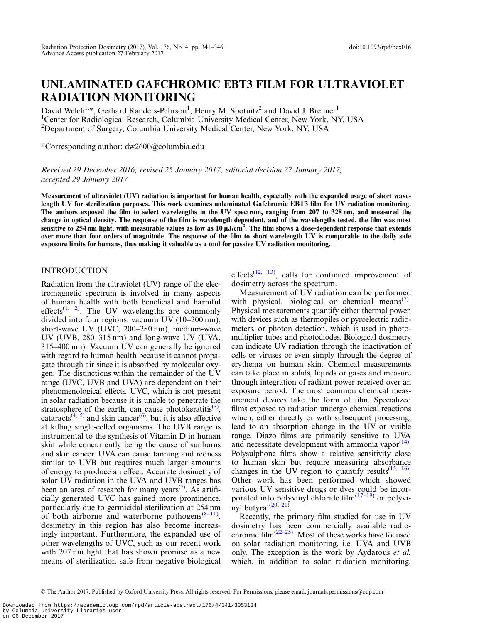# UNLAMINATED GAFCHROMIC EBT3 FILM FOR ULTRAVIOLET RADIATION MONITORING

David Welch<sup>1,\*</sup>, Gerhard Randers-Pehrson<sup>1</sup>, Henry M. Spotnitz<sup>2</sup> and David J. Brenner<sup>1</sup> <sup>1</sup>Center for Radiological Research, Columbia University Medical Center, New York, NY, USA <sup>2</sup>Department of Surgery, Columbia University Medical Center, New York, NY, USA

\*Corresponding author: dw2600@columbia.edu

Received 29 December 2016; revised 25 January 2017; editorial decision 27 January 2017; accepted 29 January 2017

Measurement of ultraviolet (UV) radiation is important for human health, especially with the expanded usage of short wavelength UV for sterilization purposes. This work examines unlaminated Gafchromic EBT3 film for UV radiation monitoring. The authors exposed the film to select wavelengths in the UV spectrum, ranging from 207 to 328 nm, and measured the change in optical density. The response of the film is wavelength dependent, and of the wavelengths tested, the film was most sensitive to 254 nm light, with measurable values as low as  $10\,\rm\mu J/cm^2$ . The film shows a dose-dependent response that extends over more than four orders of magnitude. The response of the film to short wavelength UV is comparable to the daily safe exposure limits for humans, thus making it valuable as a tool for passive UV radiation monitoring.

## INTRODUCTION

Radiation from the ultraviolet (UV) range of the electromagnetic spectrum is involved in many aspects of human health with both beneficial and harmful effects<sup>([1](#page-4-0), [2\)](#page-4-0)</sup>. The UV wavelengths are commonly divided into four regions: vacuum UV (10–200 nm), short-wave UV (UVC, 200–280 nm), medium-wave UV (UVB, 280–315 nm) and long-wave UV (UVA, 315–400 nm). Vacuum UV can generally be ignored with regard to human health because it cannot propagate through air since it is absorbed by molecular oxygen. The distinctions within the remainder of the UV range (UVC, UVB and UVA) are dependent on their phenomenological effects. UVC, which is not present in solar radiation because it is unable to penetrate the stratosphere of the earth, can cause photokeratitis<sup>[\(3](#page-4-0))</sup>, cataracts<sup>[\(4,](#page-4-0) [5](#page-4-0))</sup> and skin cancer<sup>([6](#page-4-0))</sup>, but it is also effective at killing single-celled organisms. The UVB range is instrumental to the synthesis of Vitamin D in human skin while concurrently being the cause of sunburns and skin cancer. UVA can cause tanning and redness similar to UVB but requires much larger amounts of energy to produce an effect. Accurate dosimetry of solar UV radiation in the UVA and UVB ranges has been an area of research for many years<sup> $(7)$  $(7)$ </sup>. As artificially generated UVC has gained more prominence, particularly due to germicidal sterilization at 254 nm of both airborne and waterborne pathogens $(8-11)$  $(8-11)$  $(8-11)$  $(8-11)$ , dosimetry in this region has also become increasingly important. Furthermore, the expanded use of other wavelengths of UVC, such as our recent work with 207 nm light that has shown promise as a new means of sterilization safe from negative biological

effects<sup>[\(12](#page-5-0), [13\)](#page-5-0)</sup>, calls for continued improvement of dosimetry across the spectrum.

Measurement of UV radiation can be performed with physical, biological or chemical means<sup>([7](#page-4-0))</sup>. Physical measurements quantify either thermal power, with devices such as thermopiles or pyroelectric radiometers, or photon detection, which is used in photomultiplier tubes and photodiodes. Biological dosimetry can indicate UV radiation through the inactivation of cells or viruses or even simply through the degree of erythema on human skin. Chemical measurements can take place in solids, liquids or gases and measure through integration of radiant power received over an exposure period. The most common chemical measurement devices take the form of film. Specialized films exposed to radiation undergo chemical reactions which, either directly or with subsequent processing, lead to an absorption change in the UV or visible range. Diazo films are primarily sensitive to UVA and necessitate development with ammonia vapor $(14)$  $(14)$  $(14)$ . Polysulphone films show a relative sensitivity close to human skin but require measuring absorbance changes in the UV region to quantify results $(15, 16)$  $(15, 16)$  $(15, 16)$  $(15, 16)$ . Other work has been performed which showed various UV sensitive drugs or dyes could be incorporated into polyvinyl chloride film $(17-19)$  $(17-19)$  $(17-19)$  $(17-19)$  or polyvinyl butyral $(20, 21)$  $(20, 21)$  $(20, 21)$ .

Recently, the primary film studied for use in UV dosimetry has been commercially available radiochromic film<sup> $(22-25)$  $(22-25)$  $(22-25)$  $(22-25)$ </sup>. Most of these works have focused on solar radiation monitoring, i.e. UVA and UVB only. The exception is the work by Aydarous et al. which, in addition to solar radiation monitoring,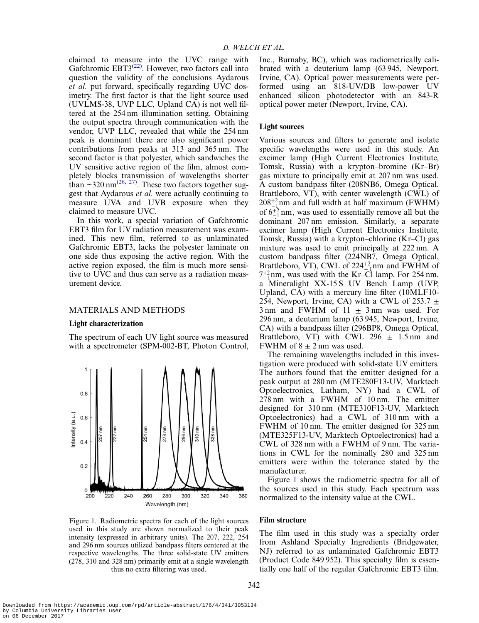claimed to measure into the UVC range with Gafchromic  $EBT3^{(22)}$  $EBT3^{(22)}$  $EBT3^{(22)}$ . However, two factors call into question the validity of the conclusions Aydarous et al. put forward, specifically regarding UVC dosimetry. The first factor is that the light source used (UVLMS-38, UVP LLC, Upland CA) is not well filtered at the 254 nm illumination setting. Obtaining the output spectra through communication with the vendor, UVP LLC, revealed that while the 254 nm peak is dominant there are also significant power contributions from peaks at 313 and 365 nm. The second factor is that polyester, which sandwiches the UV sensitive active region of the film, almost completely blocks transmission of wavelengths shorter than  $\approx$ 320 nm<sup>([26,](#page-5-0) [27\)](#page-5-0)</sup>. These two factors together suggest that Aydarous et al. were actually continuing to measure UVA and UVB exposure when they claimed to measure UVC.

In this work, a special variation of Gafchromic EBT3 film for UV radiation measurement was examined. This new film, referred to as unlaminated Gafchromic EBT3, lacks the polyester laminate on one side thus exposing the active region. With the active region exposed, the film is much more sensitive to UVC and thus can serve as a radiation measurement device.

## MATERIALS AND METHODS

#### Light characterization

The spectrum of each UV light source was measured with a spectrometer (SPM-002-BT, Photon Control,



Figure 1. Radiometric spectra for each of the light sources used in this study are shown normalized to their peak intensity (expressed in arbitrary units). The 207, 222, 254 and 296 nm sources utilized bandpass filters centered at the respective wavelengths. The three solid-state UV emitters (278, 310 and 328 nm) primarily emit at a single wavelength thus no extra filtering was used.

Inc., Burnaby, BC), which was radiometrically calibrated with a deuterium lamp (63 945, Newport, Irvine, CA). Optical power measurements were performed using an 818-UV/DB low-power UV enhanced silicon photodetector with an 843-R optical power meter (Newport, Irvine, CA).

## Light sources

Various sources and filters to generate and isolate specific wavelengths were used in this study. An excimer lamp (High Current Electronics Institute, Tomsk, Russia) with a krypton–bromine (Kr–Br) gas mixture to principally emit at 207 nm was used. A custom bandpass filter (208NB6, Omega Optical, Brattleboro, VT), with center wavelength (CWL) of  $208^{+2}_{-1}$ nm and full width at half maximum (FWHM) of  $6^{+2}_{-1}$  nm, was used to essentially remove all but the dominant 207 nm emission. Similarly, a separate excimer lamp (High Current Electronics Institute, Tomsk, Russia) with a krypton–chlorine (Kr–Cl) gas mixture was used to emit principally at 222 nm. A custom bandpass filter (224NB7, Omega Optical, Brattleboro, VT), CWL of  $224^{+2}_{-1}$  nm and FWHM of  $\alpha_{-1}^{+1}$  a Mineralight XX-15 S UV Bench Lamp (UVP,  $7^{+2}_{-1}$  nm, was used with the Kr–Cl lamp. For 254 nm, Upland, CA) with a mercury line filter (10MLF10- 254, Newport, Irvine, CA) with a CWL of 253.7  $\pm$  $3 \text{ nm}$  and FWHM of  $11 \pm 3 \text{ nm}$  was used. For 296 nm, a deuterium lamp (63 945, Newport, Irvine, CA) with a bandpass filter (296BP8, Omega Optical, Brattleboro, VT) with CWL 296  $\pm$  1.5 nm and FWHM of  $8 \pm 2$  nm was used.

The remaining wavelengths included in this investigation were produced with solid-state UV emitters. The authors found that the emitter designed for a peak output at 280 nm (MTE280F13-UV, Marktech Optoelectronics, Latham, NY) had a CWL of 278 nm with a FWHM of 10 nm. The emitter designed for 310 nm (MTE310F13-UV, Marktech Optoelectronics) had a CWL of 310 nm with a FWHM of 10 nm. The emitter designed for 325 nm (MTE325F13-UV, Marktech Optoelectronics) had a CWL of 328 nm with a FWHM of 9 nm. The variations in CWL for the nominally 280 and 325 nm emitters were within the tolerance stated by the manufacturer.

Figure 1 shows the radiometric spectra for all of the sources used in this study. Each spectrum was normalized to the intensity value at the CWL.

#### Film structure

The film used in this study was a specialty order from Ashland Specialty Ingredients (Bridgewater, NJ) referred to as unlaminated Gafchromic EBT3 (Product Code 849 952). This specialty film is essentially one half of the regular Gafchromic EBT3 film.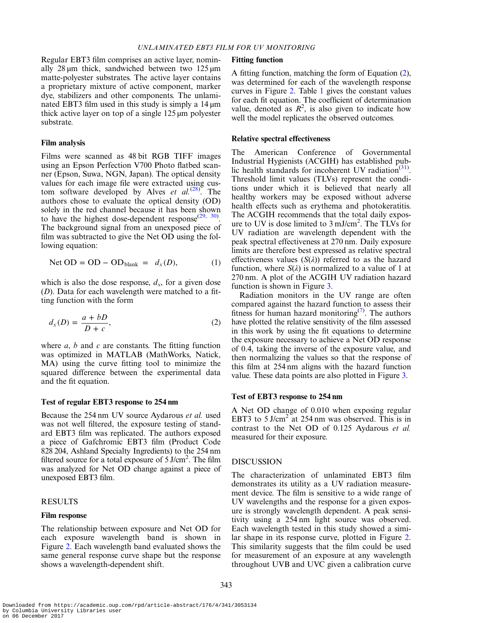<span id="page-2-0"></span>Regular EBT3 film comprises an active layer, nominally 28  $\mu$ m thick, sandwiched between two 125  $\mu$ m matte-polyester substrates. The active layer contains a proprietary mixture of active component, marker dye, stabilizers and other components. The unlaminated EBT3 film used in this study is simply a  $14 \mu m$ thick active layer on top of a single 125 µm polyester substrate.

#### Film analysis

Films were scanned as 48 bit RGB TIFF images using an Epson Perfection V700 Photo flatbed scanner (Epson, Suwa, NGN, Japan). The optical density values for each image file were extracted using custom software developed by Alves et  $al.^{(28)}$  $al.^{(28)}$  $al.^{(28)}$ . The authors chose to evaluate the optical density (OD) solely in the red channel because it has been shown to have the highest dose-dependent response $(29, 30)$  $(29, 30)$  $(29, 30)$  $(29, 30)$  $(29, 30)$ . The background signal from an unexposed piece of film was subtracted to give the Net OD using the following equation:

$$
\text{Net OD} = \text{OD} - \text{OD}_{\text{blank}} = d_x(D), \tag{1}
$$

which is also the dose response,  $d_x$ , for a given dose  $(D)$ . Data for each wavelength were matched to a fitting function with the form

$$
d_x(D) = \frac{a + bD}{D + c},\tag{2}
$$

where  $a, b$  and  $c$  are constants. The fitting function was optimized in MATLAB (MathWorks, Natick, MA) using the curve fitting tool to minimize the squared difference between the experimental data and the fit equation.

## Test of regular EBT3 response to 254 nm

Because the 254 nm UV source Aydarous et al. used was not well filtered, the exposure testing of standard EBT3 film was replicated. The authors exposed a piece of Gafchromic EBT3 film (Product Code 828 204, Ashland Specialty Ingredients) to the 254 nm filtered source for a total exposure of 5 J/cm<sup>2</sup>. The film was analyzed for Net OD change against a piece of unexposed EBT3 film.

## RESULTS

## Film response

The relationship between exposure and Net OD for each exposure wavelength band is shown in Figure [2](#page-3-0). Each wavelength band evaluated shows the same general response curve shape but the response shows a wavelength-dependent shift.

#### Fitting function

A fitting function, matching the form of Equation (2), was determined for each of the wavelength response curves in Figure [2.](#page-3-0) Table [1](#page-3-0) gives the constant values for each fit equation. The coefficient of determination value, denoted as  $R^2$ , is also given to indicate how well the model replicates the observed outcomes.

#### Relative spectral effectiveness

The American Conference of Governmental Industrial Hygienists (ACGIH) has established pub-lic health standards for incoherent UV radiation<sup>([31](#page-5-0))</sup>. Threshold limit values (TLVs) represent the conditions under which it is believed that nearly all healthy workers may be exposed without adverse health effects such as erythema and photokeratitis. The ACGIH recommends that the total daily exposure to UV is dose limited to 3 mJ/cm<sup>2</sup>. The TLVs for UV radiation are wavelength dependent with the peak spectral effectiveness at 270 nm. Daily exposure limits are therefore best expressed as relative spectral effectiveness values  $(S(\lambda))$  referred to as the hazard function, where  $S(\lambda)$  is normalized to a value of 1 at 270 nm. A plot of the ACGIH UV radiation hazard function is shown in Figure [3](#page-4-0).

Radiation monitors in the UV range are often compared against the hazard function to assess their fitness for human hazard monitoring<sup> $(7)$ </sup>. The authors have plotted the relative sensitivity of the film assessed in this work by using the fit equations to determine the exposure necessary to achieve a Net OD response of 0.4, taking the inverse of the exposure value, and then normalizing the values so that the response of this film at 254 nm aligns with the hazard function value. These data points are also plotted in Figure [3](#page-4-0).

#### Test of EBT3 response to 254 nm

A Net OD change of 0.010 when exposing regular EBT3 to 5 J/cm<sup>2</sup> at 254 nm was observed. This is in contrast to the Net OD of 0.125 Aydarous et al. measured for their exposure.

## **DISCUSSION**

The characterization of unlaminated EBT3 film demonstrates its utility as a UV radiation measurement device. The film is sensitive to a wide range of UV wavelengths and the response for a given exposure is strongly wavelength dependent. A peak sensitivity using a 254 nm light source was observed. Each wavelength tested in this study showed a similar shape in its response curve, plotted in Figure [2.](#page-3-0) This similarity suggests that the film could be used for measurement of an exposure at any wavelength throughout UVB and UVC given a calibration curve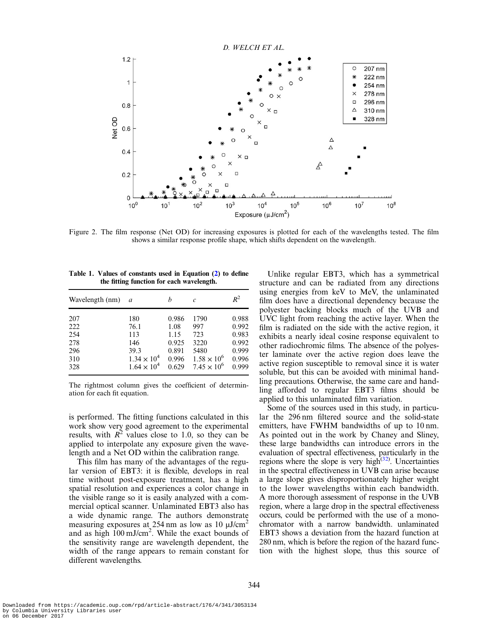<span id="page-3-0"></span>

Figure 2. The film response (Net OD) for increasing exposures is plotted for each of the wavelengths tested. The film shows a similar response profile shape, which shifts dependent on the wavelength.

| Table 1. Values of constants used in Equation (2) to define |
|-------------------------------------------------------------|
| the fitting function for each wavelength.                   |

| Wavelength (nm) | a                    | h     | C                    | $R^2$ |
|-----------------|----------------------|-------|----------------------|-------|
| 207             | 180                  | 0.986 | 1790                 | 0.988 |
| 222             | 76.1                 | 1.08  | 997                  | 0.992 |
| 254             | 113                  | 1.15  | 723                  | 0.983 |
| 278             | 146                  | 0.925 | 3220                 | 0.992 |
| 296             | 39.3                 | 0.891 | 5480                 | 0.999 |
| 310             | $1.34 \times 10^{4}$ | 0.996 | $1.58 \times 10^{6}$ | 0.996 |
| 328             | $1.64 \times 10^{4}$ | 0.629 | $7.45 \times 10^{6}$ | 0.999 |

The rightmost column gives the coefficient of determination for each fit equation.

is performed. The fitting functions calculated in this work show very good agreement to the experimental results, with  $R^2$  values close to 1.0, so they can be applied to interpolate any exposure given the wavelength and a Net OD within the calibration range.

This film has many of the advantages of the regular version of EBT3: it is flexible, develops in real time without post-exposure treatment, has a high spatial resolution and experiences a color change in the visible range so it is easily analyzed with a commercial optical scanner. Unlaminated EBT3 also has a wide dynamic range. The authors demonstrate measuring exposures at 254 nm as low as 10  $\mu$ J/cm<sup>2</sup> and as high  $100 \text{ mJ/cm}^2$ . While the exact bounds of the sensitivity range are wavelength dependent, the width of the range appears to remain constant for different wavelengths.

Unlike regular EBT3, which has a symmetrical structure and can be radiated from any directions using energies from keV to MeV, the unlaminated film does have a directional dependency because the polyester backing blocks much of the UVB and UVC light from reaching the active layer. When the film is radiated on the side with the active region, it exhibits a nearly ideal cosine response equivalent to other radiochromic films. The absence of the polyester laminate over the active region does leave the active region susceptible to removal since it is water soluble, but this can be avoided with minimal handling precautions. Otherwise, the same care and handling afforded to regular EBT3 films should be applied to this unlaminated film variation.

Some of the sources used in this study, in particular the 296 nm filtered source and the solid-state emitters, have FWHM bandwidths of up to 10 nm. As pointed out in the work by Chaney and Sliney, these large bandwidths can introduce errors in the evaluation of spectral effectiveness, particularly in the regions where the slope is very high<sup>([32](#page-5-0))</sup>. Uncertainties in the spectral effectiveness in UVB can arise because a large slope gives disproportionately higher weight to the lower wavelengths within each bandwidth. A more thorough assessment of response in the UVB region, where a large drop in the spectral effectiveness occurs, could be performed with the use of a monochromator with a narrow bandwidth. unlaminated EBT3 shows a deviation from the hazard function at 280 nm, which is before the region of the hazard function with the highest slope, thus this source of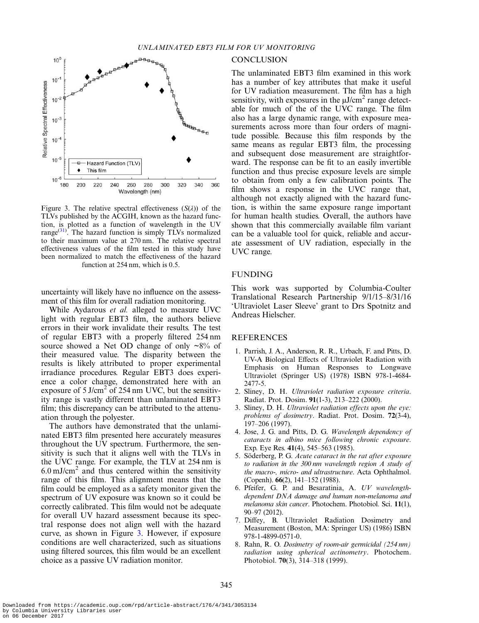<span id="page-4-0"></span>

Figure 3. The relative spectral effectiveness  $(S(\lambda))$  of the TLVs published by the ACGIH, known as the hazard function, is plotted as a function of wavelength in the UV range $(31)$  $(31)$ . The hazard function is simply TLVs normalized to their maximum value at 270 nm. The relative spectral effectiveness values of the film tested in this study have been normalized to match the effectiveness of the hazard function at 254 nm, which is 0.5.

uncertainty will likely have no influence on the assessment of this film for overall radiation monitoring.

While Aydarous et al. alleged to measure UVC light with regular EBT3 film, the authors believe errors in their work invalidate their results. The test of regular EBT3 with a properly filtered 254 nm source showed a Net OD change of only  $\sim 8\%$  of their measured value. The disparity between the results is likely attributed to proper experimental irradiance procedures. Regular EBT3 does experience a color change, demonstrated here with an exposure of  $5$  J/cm<sup>2</sup> of 254 nm UVC, but the sensitivity range is vastly different than unlaminated EBT3 film; this discrepancy can be attributed to the attenuation through the polyester.

The authors have demonstrated that the unlaminated EBT3 film presented here accurately measures throughout the UV spectrum. Furthermore, the sensitivity is such that it aligns well with the TLVs in the UVC range. For example, the TLV at 254 nm is  $6.0 \text{ mJ/cm}^2$  and thus centered within the sensitivity range of this film. This alignment means that the film could be employed as a safety monitor given the spectrum of UV exposure was known so it could be correctly calibrated. This film would not be adequate for overall UV hazard assessment because its spectral response does not align well with the hazard curve, as shown in Figure 3. However, if exposure conditions are well characterized, such as situations using filtered sources, this film would be an excellent choice as a passive UV radiation monitor.

#### **CONCLUSION**

The unlaminated EBT3 film examined in this work has a number of key attributes that make it useful for UV radiation measurement. The film has a high sensitivity, with exposures in the  $\mu$ J/cm<sup>2</sup> range detectable for much of the of the UVC range. The film also has a large dynamic range, with exposure measurements across more than four orders of magnitude possible. Because this film responds by the same means as regular EBT3 film, the processing and subsequent dose measurement are straightforward. The response can be fit to an easily invertible function and thus precise exposure levels are simple to obtain from only a few calibration points. The film shows a response in the UVC range that, although not exactly aligned with the hazard function, is within the same exposure range important for human health studies. Overall, the authors have shown that this commercially available film variant can be a valuable tool for quick, reliable and accurate assessment of UV radiation, especially in the UVC range.

## FUNDING

This work was supported by Columbia-Coulter Translational Research Partnership 9/1/15–8/31/16 'Ultraviolet Laser Sleeve' grant to Drs Spotnitz and Andreas Hielscher.

### REFERENCES

- 1. Parrish, J. A., Anderson, R. R., Urbach, F. and Pitts, D. UV-A Biological Effects of Ultraviolet Radiation with Emphasis on Human Responses to Longwave Ultraviolet (Springer US) (1978) ISBN 978-1-4684- 2477-5.
- 2. Sliney, D. H. Ultraviolet radiation exposure criteria. Radiat. Prot. Dosim. 91(1-3), 213–222 (2000).
- 3. Sliney, D. H. Ultraviolet radiation effects upon the eye: problems of dosimetry. Radiat. Prot. Dosim. 72(3-4), 197–206 (1997).
- 4. Jose, J. G. and Pitts, D. G. Wavelength dependency of cataracts in albino mice following chronic exposure. Exp. Eye Res. 41(4), 545–563 (1985).
- 5. Söderberg, P. G. Acute cataract in the rat after exposure to radiation in the 300 nm wavelength region A study of the macro-, micro- and ultrastructure. Acta Ophthalmol. (Copenh). 66(2), 141–152 (1988).
- 6. Pfeifer, G. P. and Besaratinia, A. UV wavelengthdependent DNA damage and human non-melanoma and melanoma skin cancer. Photochem. Photobiol. Sci. 11(1), 90–97 (2012).
- 7. Diffey, B. Ultraviolet Radiation Dosimetry and Measurement (Boston, MA: Springer US) (1986) ISBN 978-1-4899-0571-0.
- 8. Rahn, R. O. Dosimetry of room-air germicidal (254 nm) radiation using spherical actinometry. Photochem. Photobiol. 70(3), 314–318 (1999).